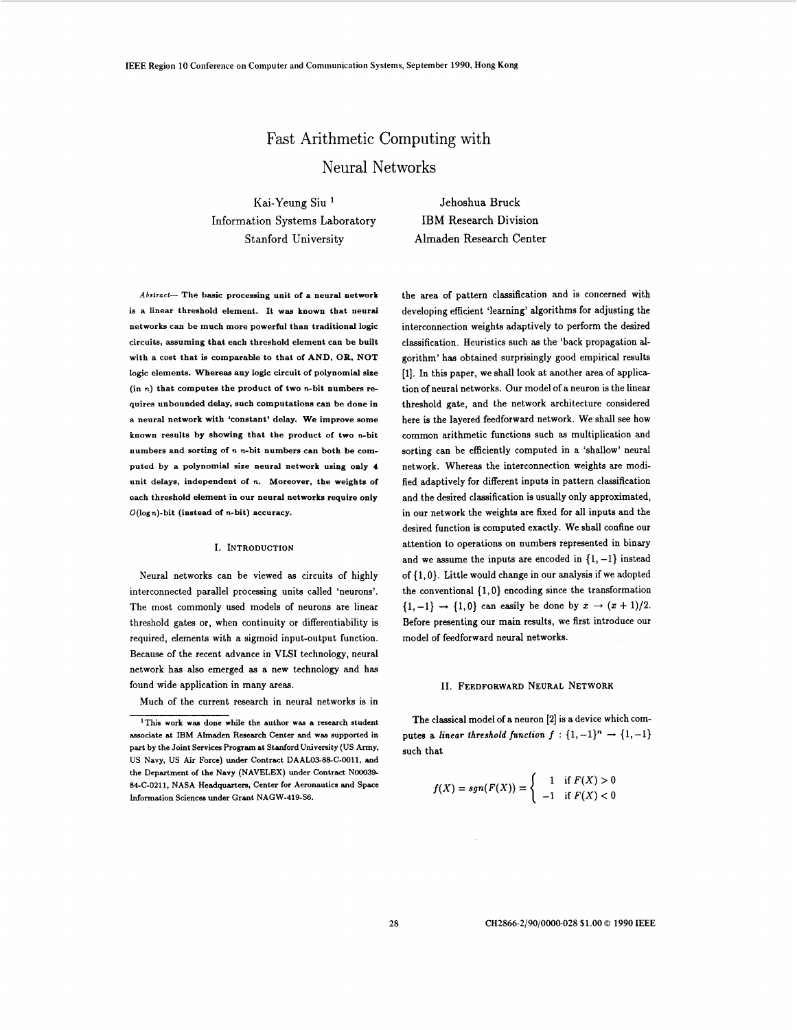# Fast Arithmetic Computing with Neural Networks

Kai-Yeung Siu Information Systems Laboratory Stanford University

Jehoshua Bruck IBM Research Division Almaden Research Center

*Absiraci-* The basic processing unit of a neural network is a linear threshold element. It was known that neural networks can be much more powerful than traditional logic circuits, assuming that each threshold element can be built with a cost that is comparable to that of AND, OR, NOT logic elements. Whereas any logic circuit of polynomial sixe (in n) that computes the product of **two** n-bit numbers requires unbounded delay, such computations can be done in a neural network with 'constant' delay. We improve some known results by showing that the product of two n-bit numbers and sorting of **n** n-bit numbers can both be computed by a polynomial size neural network using only **4**  unit delays, independent of **n.** Moreover, the weights of each threshold element in our neural networks require only  $O(\log n)$ -bit (instead of n-bit) accuracy.

### I. INTRODUCTION

Neural networks can be viewed as circuits of highly interconnected parallel processing units called 'neurons'. The most commonly used models of neurons are linear threshold gates or, when continuity or differentiability is required, elements with a sigmoid input-output function. Because of the recent advance in VLSI technology, neural network has also emerged as a new technology and has found wide application in many areas.

Much of the current research in neural networks is in

the area of pattern classification and is concerned with developing efficient 'learning' algorithms for adjusting the interconnection weights adaptively to perform the desired classification. Heuristics such **as** the 'back propagation **al**gorithm' has obtained surprisingly good empirical results [l]. In this paper, we shall look at another area of applica tion of neural networks. Our model of a neuron is the linear threshold gate, and the network architecture considered here is the layered feedforward network. We shall see how common arithmetic functions such as multiplication and sorting can be efficiently computed in a 'shallow' neural network. Whereas the interconnection weights are modified adaptively for different inputs in pattern classification and the desired classification is usually only approximated, in our network the weights are fixed for all inputs and the desired function is computed exactly. We shall confine our attention to operations on numbers represented in binary and we assume the inputs are encoded in  $\{1, -1\}$  instead of { 1,O). Little would change in our analysis if we adopted the conventional  $\{1,0\}$  encoding since the transformation  $\{1,-1\} \rightarrow \{1,0\}$  can easily be done by  $x \rightarrow (x+1)/2$ . Before presenting our main results, we first introduce our model of feedforward neural networks.

#### 11. FEEDFORWARD NEURAL NETWORK

The classical model of a neuron [2] is a device which computes a *linear threshold function*  $f : \{1, -1\}^n \rightarrow \{1, -1\}$ such that

$$
f(X) = sgn(F(X)) = \begin{cases} 1 & \text{if } F(X) > 0 \\ -1 & \text{if } F(X) < 0 \end{cases}
$$

CH2866-2/90/000@028 \$1.00 *0* 1990 IEEE

<sup>&</sup>lt;sup>1</sup>This work was done while the author was a research student associate at **IBM** Almaden Research Center and was supported in part by the Joint Services Program at Stanford University (US Army, US Navy, US Air Force) under Contract DAAL03-88-C-0011, and the Department **of** the Navy (NAVELEX) under Contract N00039- 84-C-0211, NASA Headquarters, Center for Aeronautics and Space Information Sciences under Grant NAGW-419-S6.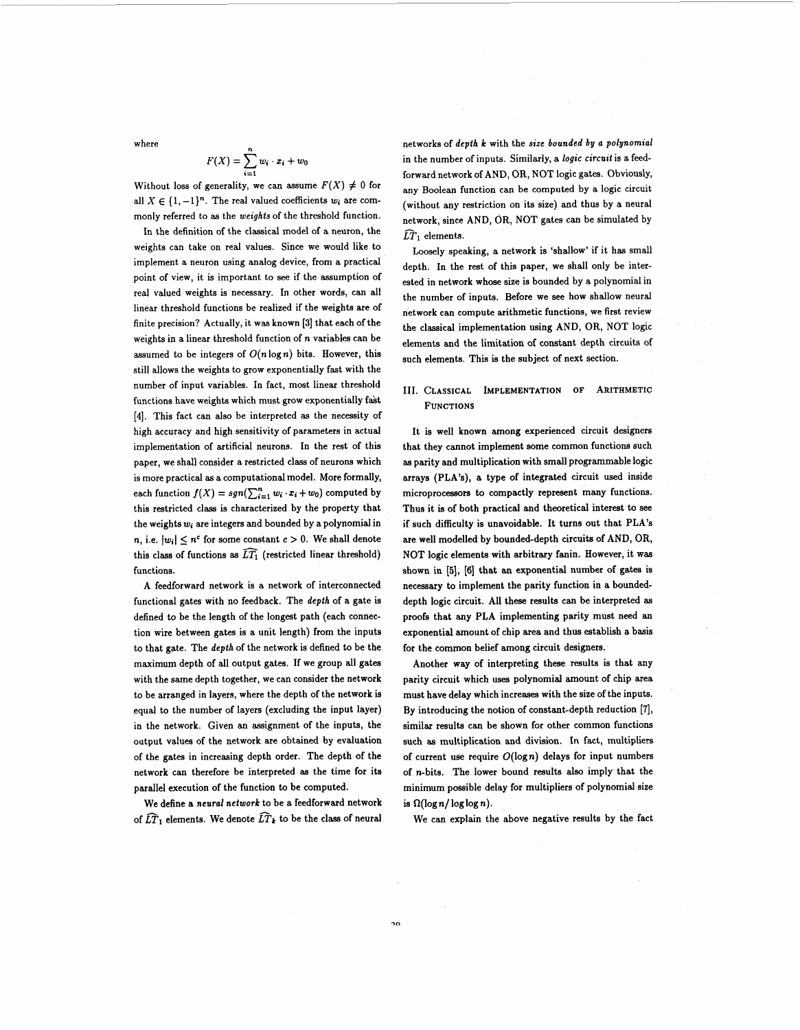where

$$
F(X) = \sum_{i=1}^n w_i \cdot x_i + w_0
$$

Without loss of generality, we can assume  $F(X) \neq 0$  for all  $X \in \{1, -1\}^n$ . The real valued coefficients  $w_i$  are commonly referred to **as** the *weights* of the threshold function.

In the definition of the classical model of a neuron, the weights can take on real values. Since we would like to implement a neuron using analog device, from a practical point of view, it is important to see if the assumption of real valued weights is necessary. In other words, can all linear threshold functions be realized if the weights are of finite precision? Actually, it was known [3] that each of the weights in a linear threshold function of **n** variables can be assumed to be integers of  $O(n \log n)$  bits. However, this still allows the weights to grow exponentially fast with the number of input variables. In fact, most linear threshold functions have weights which must grow exponentially fakt **[4].** This fact can also be interpreted as the necessity of high accuracy and high sensitivity of parameters in actual implementation of artificial neurons. In the rest of this paper, we shall consider a restricted class of neurons which is more practical **as** a computational model. More formally, each function  $f(X) = sgn(\sum_{i=1}^n w_i \cdot x_i + w_0)$  computed by this restricted class is characterized by the property that the weights *wi* are integers and bounded by a polynomial in  $n,$  i.e.  $|w_i| \leq n^c$  for some constant  $c > 0$ . We shall denote this class of functions as  $\widehat{LT_1}$  (restricted linear threshold) functions.

A feedforward network is a network of interconnected functional gates with no feedback. The *depth* of a gate is defined to be the length of the longest path (each connection wire between gates is a unit length) from the inputs to that gate. The *depth* of the network is defined to be the maximum depth of all output gates. If we group all gates with the same depth together, we can consider the network to be arranged in layers, where the depth of the network is equal to the number of layers (excluding the input layer) in the network. Given an assignment of the inputs, the output values of the network are obtained by evaluation of the gates in increasing depth order. The depth of the network can therefore be interpreted **as** the time for its parallel execution of the function to be computed.

We define a *neural network* to be a feedforward network of  $\widehat{LT}_1$  elements. We denote  $\widehat{LT}_k$  to be the class of neural networks of *depth k* with the *size bounded by a polynomial*  in the number of inputs. Similarly, a *logic circuit* is a feedforward network of AND, OR, NOT logic gates. Obviously, any Boolean function can be computed by a logic circuit (without any restriction on its size) and thus by a neural network, since **AND,** OR, NOT gates can be simulated by  $\widehat{LT}_1$  elements.

Loosely speaking, a network is 'shallow' if it has small depth. In the rest of this paper, we shall only be interested in network whose size is bounded by a polynomial in the number of inputs. Before we see how shallow neural network can compute arithmetic functions, we first review the classical implementation using AND, OR, NOT logic elements and the limitation of constant depth circuits of such elements. This is the subject of next section.

# 111. CLASSICAL IMPLEMENTATION **OF** ARITHMETIC FUNCTIONS

It is well known among experienced circuit designers that they cannot implement some common functions such **as** parity and multiplication with small programmable logic arrays **(PLA's),** a type **of** integrated circuit used inside microprocessors to compactly represent many functions. Thus it is of both practical and theoretical interest to see if such difficulty is unavoidable. It turns out that PLA's are well modelled by bounded-depth circuits of AND, OR, NOT logic elements with arbitrary fanin. However, it was shown in [5], [6] that an exponential number of gates is necessary to implement the parity function in a boundeddepth logic circuit. **All** these results can be interpreted **as**  proofs that any **PLA** implementing parity must need **an**  exponential amount of chip area and thus establish *a* basis for the common belief among circuit designers.

Another way of interpreting these results is that any parity circuit which uses polynomial amount of chip area must have delay which increases with the size of the inputs. By introducing the notion of constant-depth reduction **[7],**  similar results can be shown for other common functions such **as** multiplication and division. In fact, multipliers of current use require  $O(\log n)$  delays for input numbers of n-bits. The lower bound results also imply that the minimum possible delay for multipliers of polynomial size is  $\Omega(\log n / \log \log n)$ .

We can explain the above negative results by the fact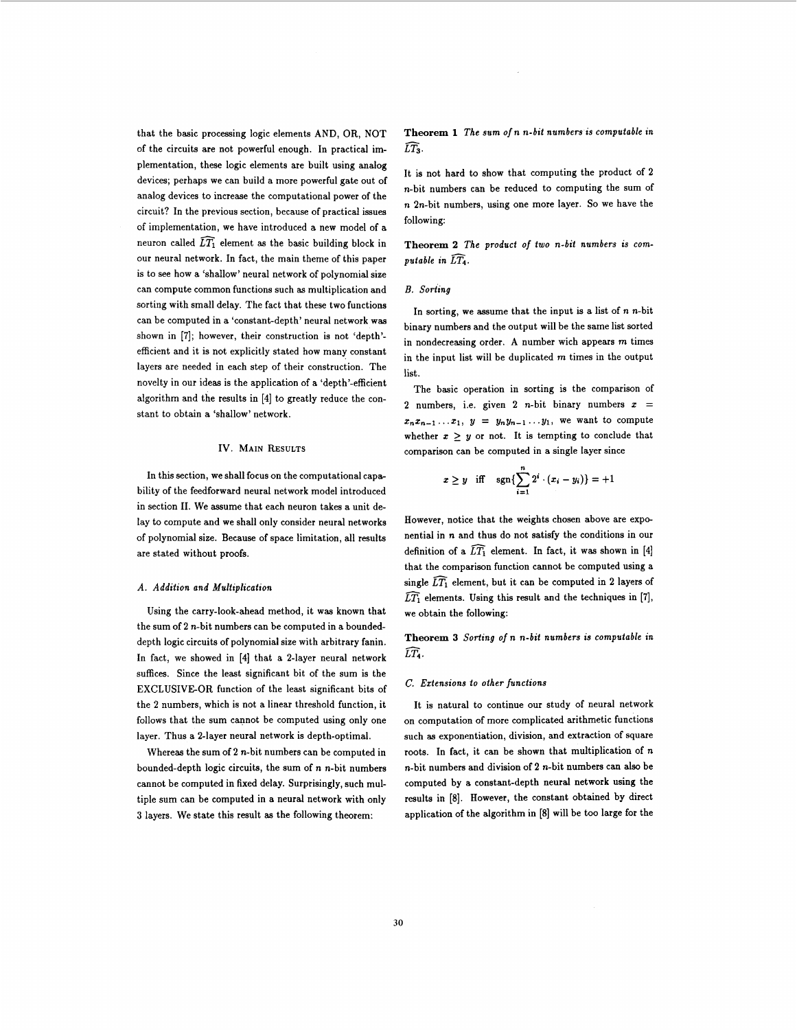that the basic processing logic elements AND, OR, NOT of the circuits are not powerful enough. In practical implementation, these logic elements are built using analog devices; perhaps we can build a more powerful gate out of analog devices to increase the computational power of the circuit? In the previous section, because of practical issues of implementation, we have introduced a new model of a neuron called  $\widehat{LT_1}$  element as the basic building block in our neural network. In fact, the main theme of this paper is to see how a 'shallow' neural network of polynomial size can compute common functions such **as** multiplication and sorting with small delay. The fact that these two functions can be computed in a 'constant-depth' neural network was shown in **[7];** however, their construction is not 'depth' efficient and it is not explicitly stated how many constant layers are needed in each step of their construction. The novelty in our ideas is the application of a 'depth'-efficient algorithm and the results in **[4]** to greatly reduce the constant to obtain a 'shallow' network.

# **IV. MAIN RESULTS**

In this section, we shall focus on the computational capability of the feedforward neural network model introduced in section **11.** We assume that each neuron takes a unit delay to compute and we shall only consider neural networks of polynomial size. Because of space limitation, all results are stated without proofs.

## *A. Addition and Multiplication*

Using the carry-look-ahead method, it was known that the sum of  $2$  *n*-bit numbers can be computed in a boundeddepth logic circuits of polynomial size with arbitrary fanin. In fact, we showed in [4] that a 2-layer neural network suffices. Since the least significant bit of the sum is the EXCLUSIVE-OR function of the least significant bits of the **2** numbers, which is not a linear threshold function, it follows that the sum cannot be computed using only one layer. Thus a 2-layer neural network is depth-optimal.

Whereas the sum of 2 n-bit numbers can be computed in bounded-depth logic circuits, the sum of **n** n-bit numbers cannot be computed in fixed delay. Surprisingly, such multiple sum can be computed in a neural network with only **3** layers. We state this result **as** the following theorem:

**Theorem 1** *The sum* **of n** *n-bit numbers is computable in LT3.* 

It is not hard to show that computing the product of **2**  n-bit numbers can be reduced to computing the sum of **n** 2n-bit numbers, using one more layer. So we have the following:

**Theorem 2** *The product* of *two n-bit numbers is computable in LT4.* 

#### *B. Sortfng*

In sorting, we assume that the input is a list of **n** n-bit binary numbers and the output will be the same list sorted in nondecreasing order. A number wich appears m times in the input list will be duplicated m times in the output list.

The basic operation in sorting is the comparison of 2 numbers, i.e. given 2 *n*-bit binary numbers  $x =$  $x_n x_{n-1} \ldots x_1$ ,  $y = y_n y_{n-1} \ldots y_1$ , we want to compute whether  $x \geq y$  or not. It is tempting to conclude that comparison can be computed in a single layer since

$$
x \ge y
$$
 iff  $\text{sgn}\left\{\sum_{i=1}^{n} 2^{i} \cdot (x_i - y_i)\right\} = +1$ 

However, notice that the weights chosen above are exponential in **n** and thus do not satisfy the conditions in our definition of a  $\widehat{LT_1}$  element. In fact, it was shown in [4] that the comparison function cannot be computed using a single  $\widehat{LT_1}$  element, but it can be computed in 2 layers of  $\widehat{LT_1}$  elements. Using this result and the techniques in [7], we obtain the following:

**Theorem 3** *Sorting of* **n** *n-bit numbers is computable in LT4,* 

#### C. *Ertensions to other functions*

It is natural to continue our study of neural network on computation of more complicated arithmetic functions such **as** exponentiation, division, and extraction of square roots. In fact, it can be shown that multiplication of **n**  n-bit numbers and division of **2** n-bit numbers can also be computed by a constant-depth neural network using the results in **[8].** However, the constant obtained by direct application of the algorithm in [SI will be too large for the